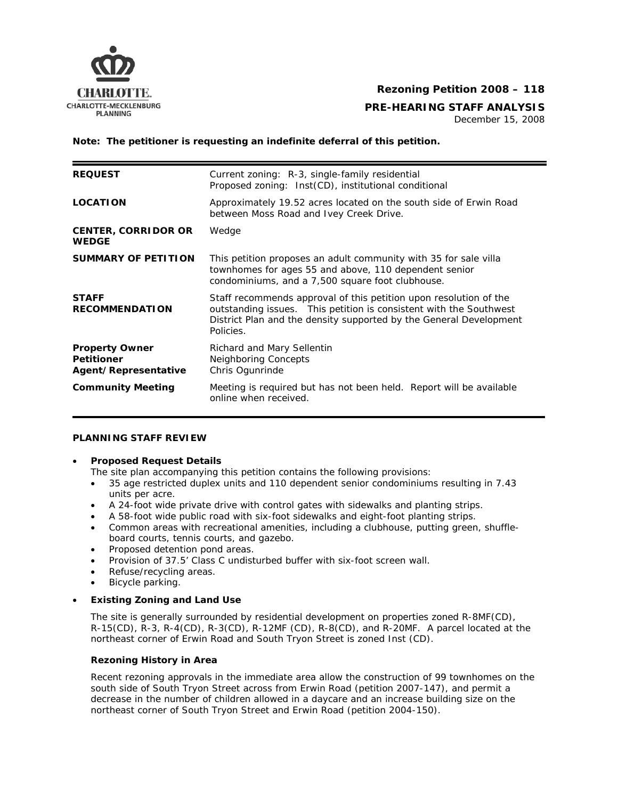

## **Rezoning Petition 2008 – 118**

# **CHARLOTTE-MECKLENBURG**<br>PLANNING PLANNING

December 15, 2008

**Note: The petitioner is requesting an indefinite deferral of this petition.** 

| <b>REQUEST</b>                                                     | Current zoning: R-3, single-family residential<br>Proposed zoning: Inst(CD), institutional conditional                                                                                                                     |
|--------------------------------------------------------------------|----------------------------------------------------------------------------------------------------------------------------------------------------------------------------------------------------------------------------|
| <b>LOCATION</b>                                                    | Approximately 19.52 acres located on the south side of Erwin Road<br>between Moss Road and Ivey Creek Drive.                                                                                                               |
| <b>CENTER, CORRIDOR OR</b><br><b>WEDGE</b>                         | Wedge                                                                                                                                                                                                                      |
| <b>SUMMARY OF PETITION</b>                                         | This petition proposes an adult community with 35 for sale villa<br>townhomes for ages 55 and above, 110 dependent senior<br>condominiums, and a 7,500 square foot clubhouse.                                              |
| <b>STAFF</b><br><b>RECOMMENDATION</b>                              | Staff recommends approval of this petition upon resolution of the<br>outstanding issues. This petition is consistent with the Southwest<br>District Plan and the density supported by the General Development<br>Policies. |
| <b>Property Owner</b><br><b>Petitioner</b><br>Agent/Representative | Richard and Mary Sellentin<br><b>Neighboring Concepts</b><br>Chris Ogunrinde                                                                                                                                               |
| <b>Community Meeting</b>                                           | Meeting is reguired but has not been held. Report will be available<br>online when received.                                                                                                                               |

## **PLANNING STAFF REVIEW**

#### • **Proposed Request Details**

The site plan accompanying this petition contains the following provisions:

- 35 age restricted duplex units and 110 dependent senior condominiums resulting in 7.43 units per acre.
- A 24-foot wide private drive with control gates with sidewalks and planting strips.
- A 58-foot wide public road with six-foot sidewalks and eight-foot planting strips.
- Common areas with recreational amenities, including a clubhouse, putting green, shuffleboard courts, tennis courts, and gazebo.
- Proposed detention pond areas.
- Provision of 37.5' Class C undisturbed buffer with six-foot screen wall.
- Refuse/recycling areas.
- Bicycle parking.

#### • **Existing Zoning and Land Use**

The site is generally surrounded by residential development on properties zoned R-8MF(CD), R-15(CD), R-3, R-4(CD), R-3(CD), R-12MF (CD), R-8(CD), and R-20MF. A parcel located at the northeast corner of Erwin Road and South Tryon Street is zoned Inst (CD).

#### **Rezoning History in Area**

Recent rezoning approvals in the immediate area allow the construction of 99 townhomes on the south side of South Tryon Street across from Erwin Road (petition 2007-147), and permit a decrease in the number of children allowed in a daycare and an increase building size on the northeast corner of South Tryon Street and Erwin Road (petition 2004-150).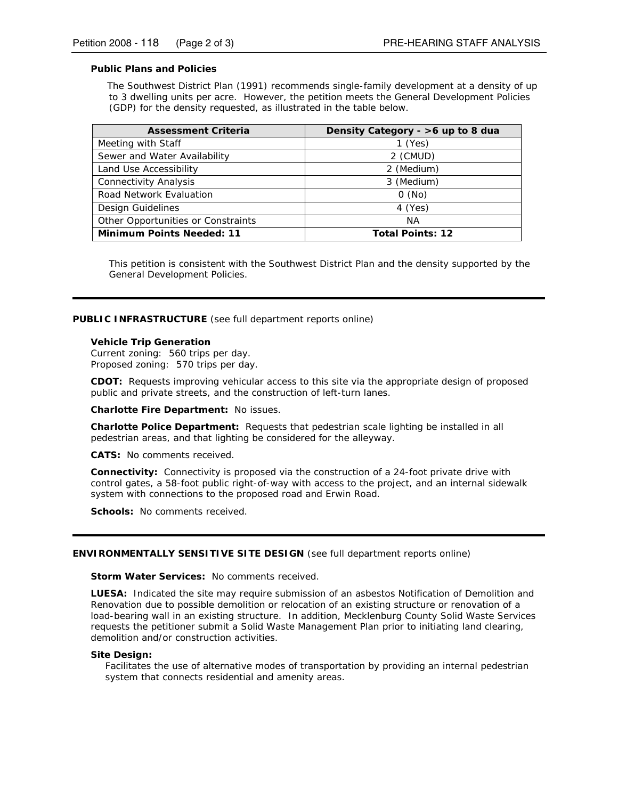#### **Public Plans and Policies**

The *Southwest District Plan* (1991) recommends single-family development at a density of up to 3 dwelling units per acre. However, the petition meets the *General Development Policies* (GDP) for the density requested, as illustrated in the table below.

| <b>Assessment Criteria</b>         | Density Category - >6 up to 8 dua |
|------------------------------------|-----------------------------------|
| Meeting with Staff                 | $1$ (Yes)                         |
| Sewer and Water Availability       | 2 (CMUD)                          |
| Land Use Accessibility             | 2 (Medium)                        |
| <b>Connectivity Analysis</b>       | 3 (Medium)                        |
| Road Network Evaluation            | $0$ (No)                          |
| Design Guidelines                  | 4 (Yes)                           |
| Other Opportunities or Constraints | ΝA                                |
| <b>Minimum Points Needed: 11</b>   | <b>Total Points: 12</b>           |

This petition is consistent with the *Southwest District Plan* and the density supported by the *General Development Policies*.

#### **PUBLIC INFRASTRUCTURE** (see full department reports online)

#### **Vehicle Trip Generation**

Current zoning: 560 trips per day. Proposed zoning: 570 trips per day.

**CDOT:** Requests improving vehicular access to this site via the appropriate design of proposed public and private streets, and the construction of left-turn lanes.

**Charlotte Fire Department:** No issues.

**Charlotte Police Department:** Requests that pedestrian scale lighting be installed in all pedestrian areas, and that lighting be considered for the alleyway.

**CATS:** No comments received.

**Connectivity:** Connectivity is proposed via the construction of a 24-foot private drive with control gates, a 58-foot public right-of-way with access to the project, and an internal sidewalk system with connections to the proposed road and Erwin Road.

**Schools:** No comments received.

#### **ENVIRONMENTALLY SENSITIVE SITE DESIGN** (see full department reports online)

#### **Storm Water Services:** No comments received.

**LUESA:** Indicated the site may require submission of an asbestos Notification of Demolition and Renovation due to possible demolition or relocation of an existing structure or renovation of a load-bearing wall in an existing structure. In addition, Mecklenburg County Solid Waste Services requests the petitioner submit a Solid Waste Management Plan prior to initiating land clearing, demolition and/or construction activities.

#### **Site Design:**

Facilitates the use of alternative modes of transportation by providing an internal pedestrian system that connects residential and amenity areas.